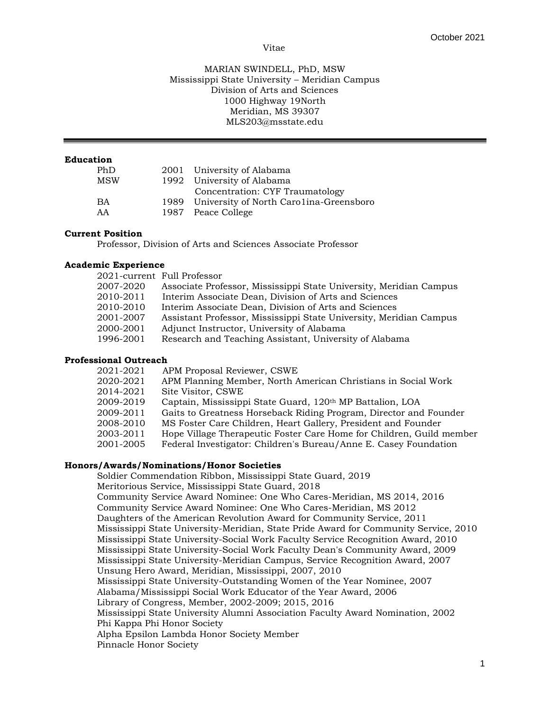#### Vitae

## MARIAN SWINDELL, PhD, MSW Mississippi State University – Meridian Campus Division of Arts and Sciences 1000 Highway 19North Meridian, MS 39307 MLS203@msstate.edu

## **Education**

| PhD        | 2001 University of Alabama                   |
|------------|----------------------------------------------|
| <b>MSW</b> | 1992 University of Alabama                   |
|            | Concentration: CYF Traumatology              |
| <b>BA</b>  | 1989 University of North Carolina-Greensboro |
| AA         | 1987 Peace College                           |

## **Current Position**

Professor, Division of Arts and Sciences Associate Professor

#### **Academic Experience**

|           | 2021-current Full Professor                                        |
|-----------|--------------------------------------------------------------------|
| 2007-2020 | Associate Professor, Mississippi State University, Meridian Campus |
| 2010-2011 | Interim Associate Dean, Division of Arts and Sciences              |
| 2010-2010 | Interim Associate Dean, Division of Arts and Sciences              |
| 2001-2007 | Assistant Professor, Mississippi State University, Meridian Campus |
| 2000-2001 | Adjunct Instructor, University of Alabama                          |
| 1996-2001 | Research and Teaching Assistant, University of Alabama             |
|           |                                                                    |

# **Professional Outreach**

| 2021-2021 | APM Proposal Reviewer, CSWE                                           |
|-----------|-----------------------------------------------------------------------|
| 2020-2021 | APM Planning Member, North American Christians in Social Work         |
| 2014-2021 | Site Visitor, CSWE                                                    |
| 2009-2019 | Captain, Mississippi State Guard, 120 <sup>th</sup> MP Battalion, LOA |
| 2009-2011 | Gaits to Greatness Horseback Riding Program, Director and Founder     |
| 2008-2010 | MS Foster Care Children, Heart Gallery, President and Founder         |
| 2003-2011 | Hope Village Therapeutic Foster Care Home for Children, Guild member  |
| 2001-2005 | Federal Investigator: Children's Bureau/Anne E. Casey Foundation      |
|           |                                                                       |

#### **Honors/Awards/Nominations/Honor Societies**

Soldier Commendation Ribbon, Mississippi State Guard, 2019 Meritorious Service, Mississippi State Guard, 2018 Community Service Award Nominee: One Who Cares-Meridian, MS 2014, 2016 Community Service Award Nominee: One Who Cares-Meridian, MS 2012 Daughters of the American Revolution Award for Community Service, 2011 Mississippi State University-Meridian, State Pride Award for Community Service, 2010 Mississippi State University-Social Work Faculty Service Recognition Award, 2010 Mississippi State University-Social Work Faculty Dean's Community Award, 2009 Mississippi State University-Meridian Campus, Service Recognition Award, 2007 Unsung Hero Award, Meridian, Mississippi, 2007, 2010 Mississippi State University-Outstanding Women of the Year Nominee, 2007 Alabama/Mississippi Social Work Educator of the Year Award, 2006 Library of Congress, Member, 2002-2009; 2015, 2016 Mississippi State University Alumni Association Faculty Award Nomination, 2002 Phi Kappa Phi Honor Society Alpha Epsilon Lambda Honor Society Member Pinnacle Honor Society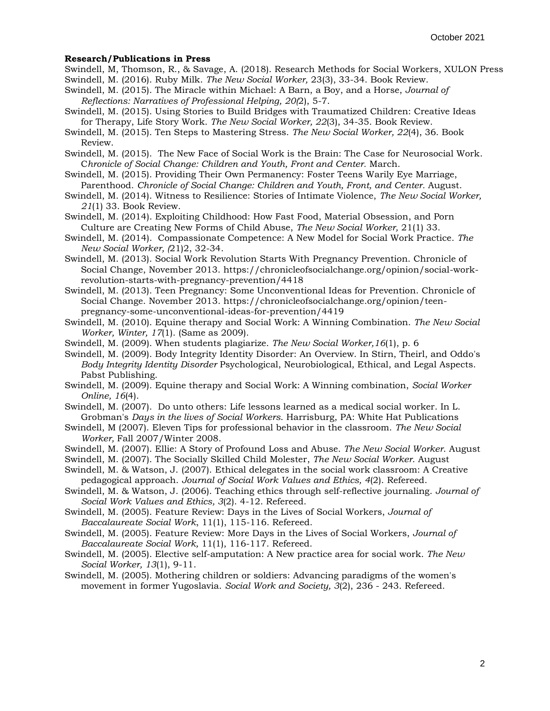#### **Research/Publications in Press**

- Swindell, M, Thomson, R., & Savage, A. (2018). Research Methods for Social Workers, XULON Press Swindell, M. (2016). Ruby Milk. *The New Social Worker,* 23(3), 33-34. Book Review.
- Swindell, M. (2015). The Miracle within Michael: A Barn, a Boy, and a Horse, *Journal of*

*Reflections: Narratives of Professional Helping, 20(*2), 5-7.

Swindell, M. (2015). Using Stories to Build Bridges with Traumatized Children: Creative Ideas for Therapy, Life Story Work. *The New Social Worker, 22*(3), 34-35. Book Review.

Swindell, M. (2015). Ten Steps to Mastering Stress. *The New Social Worker, 22*(4), 36. Book Review.

Swindell, M. (2015). The New Face of Social Work is the Brain: The Case for Neurosocial Work. C*hronicle of Social Change: Children and Youth, Front and Center.* March.

- Swindell, M. (2015). Providing Their Own Permanency: Foster Teens Warily Eye Marriage, Parenthood. *Chronicle of Social Change: Children and Youth, Front, and Center.* August.
- Swindell, M. (2014). Witness to Resilience: Stories of Intimate Violence, *The New Social Worker, 21*(1) 33. Book Review.
- Swindell, M. (2014). Exploiting Childhood: How Fast Food, Material Obsession, and Porn Culture are Creating New Forms of Child Abuse, *The New Social Worker,* 21(1) 33.
- Swindell, M. (2014). Compassionate Competence: A New Model for Social Work Practice. *The New Social Worker, (*21)2, 32-34.
- Swindell, M. (2013). Social Work Revolution Starts With Pregnancy Prevention. Chronicle of Social Change, November 2013. https://chronicleofsocialchange.org/opinion/social-workrevolution-starts-with-pregnancy-prevention/4418
- Swindell, M. (2013). Teen Pregnancy: Some Unconventional Ideas for Prevention. Chronicle of Social Change. November 2013. https://chronicleofsocialchange.org/opinion/teenpregnancy-some-unconventional-ideas-for-prevention/4419
- Swindell, M. (2010). Equine therapy and Social Work: A Winning Combination. *The New Social Worker, Winter, 17*(1). (Same as 2009).
- Swindell, M. (2009). When students plagiarize. *The New Social Worker,16*(1), p. 6
- Swindell, M. (2009). Body Integrity Identity Disorder: An Overview. In Stirn, Theirl, and Oddo's *Body Integrity Identity Disorder* Psychological, Neurobiological, Ethical, and Legal Aspects. Pabst Publishing.
- Swindell, M. (2009). Equine therapy and Social Work: A Winning combination, *Social Worker Online, 16*(4).
- Swindell, M. (2007). Do unto others: Life lessons learned as a medical social worker. In L. Grobman's *Days in the lives of Social Workers*. Harrisburg, PA: White Hat Publications
- Swindell, M (2007). Eleven Tips for professional behavior in the classroom. *The New Social Worker,* Fall 2007/Winter 2008.
- Swindell, M. (2007). Ellie: A Story of Profound Loss and Abuse. *The New Social Worker*. August

Swindell, M. (2007). The Socially Skilled Child Molester, *The New Social Worker*. August

Swindell, M. & Watson, J. (2007). Ethical delegates in the social work classroom: A Creative pedagogical approach. *Journal of Social Work Values and Ethics, 4*(2). Refereed.

Swindell, M. & Watson, J. (2006). Teaching ethics through self-reflective journaling. *Journal of Social Work Values and Ethics, 3*(2). 4-12. Refereed.

- Swindell, M. (2005). Feature Review: Days in the Lives of Social Workers, *Journal of Baccalaureate Social Work*, 11(1), 115-116. Refereed.
- Swindell, M. (2005). Feature Review: More Days in the Lives of Social Workers, *Journal of Baccalaureate Social Work,* 11(1), 116-117. Refereed.
- Swindell, M. (2005). Elective self-amputation: A New practice area for social work. *The New Social Worker, 13*(1), 9-11.
- Swindell, M. (2005). Mothering children or soldiers: Advancing paradigms of the women's movement in former Yugoslavia. *Social Work and Society, 3*(2), 236 - 243. Refereed.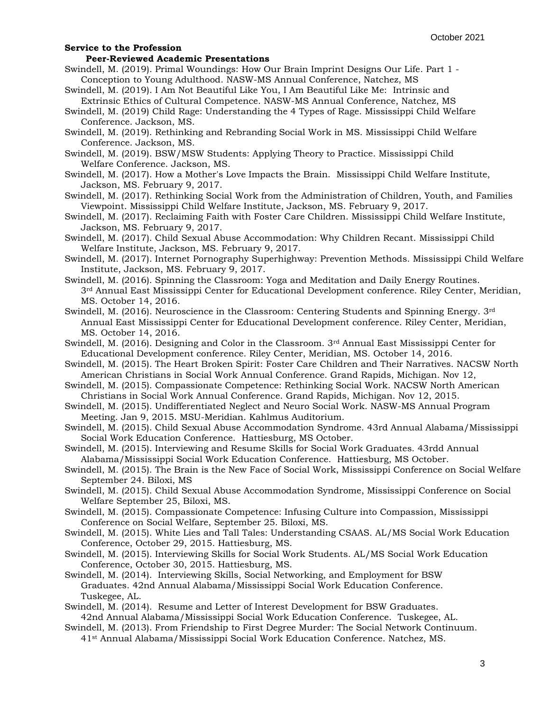#### **Peer-Reviewed Academic Presentations**

- Swindell, M. (2019). Primal Woundings: How Our Brain Imprint Designs Our Life. Part 1 Conception to Young Adulthood. NASW-MS Annual Conference, Natchez, MS
- Swindell, M. (2019). I Am Not Beautiful Like You, I Am Beautiful Like Me: Intrinsic and Extrinsic Ethics of Cultural Competence. NASW-MS Annual Conference, Natchez, MS
- Swindell, M. (2019) Child Rage: Understanding the 4 Types of Rage. Mississippi Child Welfare Conference. Jackson, MS.
- Swindell, M. (2019). Rethinking and Rebranding Social Work in MS. Mississippi Child Welfare Conference. Jackson, MS.
- Swindell, M. (2019). BSW/MSW Students: Applying Theory to Practice. Mississippi Child Welfare Conference. Jackson, MS.
- Swindell, M. (2017). How a Mother's Love Impacts the Brain. Mississippi Child Welfare Institute, Jackson, MS. February 9, 2017.
- Swindell, M. (2017). Rethinking Social Work from the Administration of Children, Youth, and Families Viewpoint. Mississippi Child Welfare Institute, Jackson, MS. February 9, 2017.
- Swindell, M. (2017). Reclaiming Faith with Foster Care Children. Mississippi Child Welfare Institute, Jackson, MS. February 9, 2017.
- Swindell, M. (2017). Child Sexual Abuse Accommodation: Why Children Recant. Mississippi Child Welfare Institute, Jackson, MS. February 9, 2017.
- Swindell, M. (2017). Internet Pornography Superhighway: Prevention Methods. Mississippi Child Welfare Institute, Jackson, MS. February 9, 2017.
- Swindell, M. (2016). Spinning the Classroom: Yoga and Meditation and Daily Energy Routines. 3<sup>rd</sup> Annual East Mississippi Center for Educational Development conference. Riley Center, Meridian, MS. October 14, 2016.
- Swindell, M. (2016). Neuroscience in the Classroom: Centering Students and Spinning Energy. 3rd Annual East Mississippi Center for Educational Development conference. Riley Center, Meridian, MS. October 14, 2016.
- Swindell, M. (2016). Designing and Color in the Classroom. 3rd Annual East Mississippi Center for Educational Development conference. Riley Center, Meridian, MS. October 14, 2016.
- Swindell, M. (2015). The Heart Broken Spirit: Foster Care Children and Their Narratives. NACSW North American Christians in Social Work Annual Conference. Grand Rapids, Michigan. Nov 12,
- Swindell, M. (2015). Compassionate Competence: Rethinking Social Work. NACSW North American Christians in Social Work Annual Conference. Grand Rapids, Michigan. Nov 12, 2015.
- Swindell, M. (2015). Undifferentiated Neglect and Neuro Social Work. NASW-MS Annual Program Meeting. Jan 9, 2015. MSU-Meridian. Kahlmus Auditorium.
- Swindell, M. (2015). Child Sexual Abuse Accommodation Syndrome. 43rd Annual Alabama/Mississippi Social Work Education Conference. Hattiesburg, MS October.
- Swindell, M. (2015). Interviewing and Resume Skills for Social Work Graduates. 43rdd Annual Alabama/Mississippi Social Work Education Conference. Hattiesburg, MS October.
- Swindell, M. (2015). The Brain is the New Face of Social Work, Mississippi Conference on Social Welfare September 24. Biloxi, MS
- Swindell, M. (2015). Child Sexual Abuse Accommodation Syndrome, Mississippi Conference on Social Welfare September 25, Biloxi, MS.
- Swindell, M. (2015). Compassionate Competence: Infusing Culture into Compassion, Mississippi Conference on Social Welfare, September 25. Biloxi, MS.
- Swindell, M. (2015). White Lies and Tall Tales: Understanding CSAAS. AL/MS Social Work Education Conference, October 29, 2015. Hattiesburg, MS.
- Swindell, M. (2015). Interviewing Skills for Social Work Students. AL/MS Social Work Education Conference, October 30, 2015. Hattiesburg, MS.
- Swindell, M. (2014). Interviewing Skills, Social Networking, and Employment for BSW Graduates. 42nd Annual Alabama/Mississippi Social Work Education Conference. Tuskegee, AL.
- Swindell, M. (2014). Resume and Letter of Interest Development for BSW Graduates. 42nd Annual Alabama/Mississippi Social Work Education Conference. Tuskegee, AL.
- Swindell, M. (2013). From Friendship to First Degree Murder: The Social Network Continuum. 41st Annual Alabama/Mississippi Social Work Education Conference. Natchez, MS.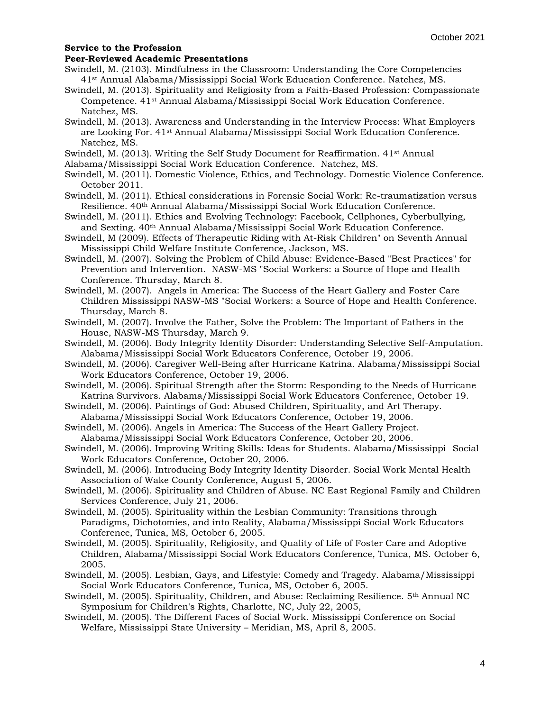### **Peer-Reviewed Academic Presentations**

- Swindell, M. (2103). Mindfulness in the Classroom: Understanding the Core Competencies 41st Annual Alabama/Mississippi Social Work Education Conference. Natchez, MS.
- Swindell, M. (2013). Spirituality and Religiosity from a Faith-Based Profession: Compassionate Competence. 41st Annual Alabama/Mississippi Social Work Education Conference. Natchez, MS.
- Swindell, M. (2013). Awareness and Understanding in the Interview Process: What Employers are Looking For. 41st Annual Alabama/Mississippi Social Work Education Conference. Natchez, MS.
- Swindell, M. (2013). Writing the Self Study Document for Reaffirmation. 41<sup>st</sup> Annual
- Alabama/Mississippi Social Work Education Conference. Natchez, MS.
- Swindell, M. (2011). Domestic Violence, Ethics, and Technology. Domestic Violence Conference. October 2011.
- Swindell, M. (2011). Ethical considerations in Forensic Social Work: Re-traumatization versus Resilience. 40th Annual Alabama/Mississippi Social Work Education Conference.
- Swindell, M. (2011). Ethics and Evolving Technology: Facebook, Cellphones, Cyberbullying, and Sexting. 40th Annual Alabama/Mississippi Social Work Education Conference.
- Swindell, M (2009). Effects of Therapeutic Riding with At-Risk Children" on Seventh Annual Mississippi Child Welfare Institute Conference, Jackson, MS.
- Swindell, M. (2007). Solving the Problem of Child Abuse: Evidence-Based "Best Practices" for Prevention and Intervention. NASW-MS "Social Workers: a Source of Hope and Health Conference. Thursday, March 8.
- Swindell, M. (2007). Angels in America: The Success of the Heart Gallery and Foster Care Children Mississippi NASW-MS "Social Workers: a Source of Hope and Health Conference. Thursday, March 8.
- Swindell, M. (2007). Involve the Father, Solve the Problem: The Important of Fathers in the House, NASW-MS Thursday, March 9.
- Swindell, M. (2006). Body Integrity Identity Disorder: Understanding Selective Self-Amputation. Alabama/Mississippi Social Work Educators Conference, October 19, 2006.
- Swindell, M. (2006). Caregiver Well-Being after Hurricane Katrina. Alabama/Mississippi Social Work Educators Conference, October 19, 2006.
- Swindell, M. (2006). Spiritual Strength after the Storm: Responding to the Needs of Hurricane Katrina Survivors. Alabama/Mississippi Social Work Educators Conference, October 19.
- Swindell, M. (2006). Paintings of God: Abused Children, Spirituality, and Art Therapy.
- Alabama/Mississippi Social Work Educators Conference, October 19, 2006.
- Swindell, M. (2006). Angels in America: The Success of the Heart Gallery Project. Alabama/Mississippi Social Work Educators Conference, October 20, 2006.
- Swindell, M. (2006). Improving Writing Skills: Ideas for Students. Alabama/Mississippi Social Work Educators Conference, October 20, 2006.
- Swindell, M. (2006). Introducing Body Integrity Identity Disorder. Social Work Mental Health Association of Wake County Conference, August 5, 2006.
- Swindell, M. (2006). Spirituality and Children of Abuse. NC East Regional Family and Children Services Conference, July 21, 2006.
- Swindell, M. (2005). Spirituality within the Lesbian Community: Transitions through Paradigms, Dichotomies, and into Reality, Alabama/Mississippi Social Work Educators Conference, Tunica, MS, October 6, 2005.
- Swindell, M. (2005). Spirituality, Religiosity, and Quality of Life of Foster Care and Adoptive Children, Alabama/Mississippi Social Work Educators Conference, Tunica, MS. October 6, 2005.
- Swindell, M. (2005). Lesbian, Gays, and Lifestyle: Comedy and Tragedy. Alabama/Mississippi Social Work Educators Conference, Tunica, MS, October 6, 2005.
- Swindell, M. (2005). Spirituality, Children, and Abuse: Reclaiming Resilience. 5th Annual NC Symposium for Children's Rights, Charlotte, NC, July 22, 2005,
- Swindell, M. (2005). The Different Faces of Social Work. Mississippi Conference on Social Welfare, Mississippi State University – Meridian, MS, April 8, 2005.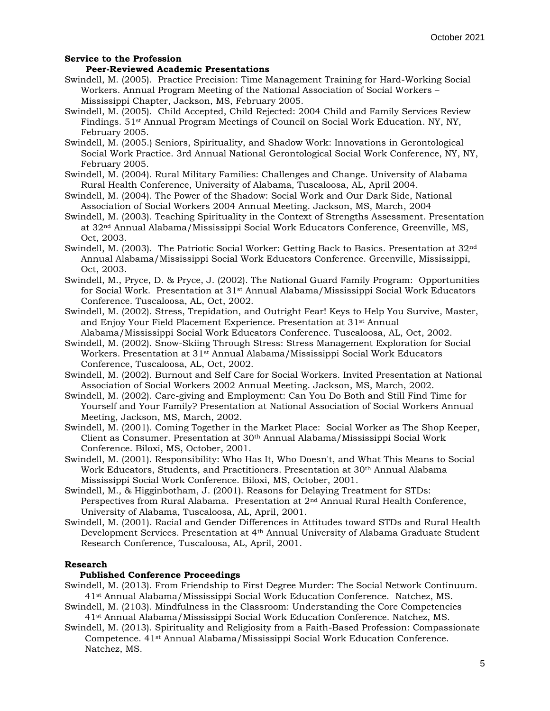# **Peer-Reviewed Academic Presentations**

- Swindell, M. (2005). Practice Precision: Time Management Training for Hard-Working Social Workers. Annual Program Meeting of the National Association of Social Workers – Mississippi Chapter, Jackson, MS, February 2005.
- Swindell, M. (2005). Child Accepted, Child Rejected: 2004 Child and Family Services Review Findings. 51st Annual Program Meetings of Council on Social Work Education. NY, NY, February 2005.
- Swindell, M. (2005.) Seniors, Spirituality, and Shadow Work: Innovations in Gerontological Social Work Practice. 3rd Annual National Gerontological Social Work Conference, NY, NY, February 2005.
- Swindell, M. (2004). Rural Military Families: Challenges and Change. University of Alabama Rural Health Conference, University of Alabama, Tuscaloosa, AL, April 2004.
- Swindell, M. (2004). The Power of the Shadow: Social Work and Our Dark Side, National Association of Social Workers 2004 Annual Meeting. Jackson, MS, March, 2004
- Swindell, M. (2003). Teaching Spirituality in the Context of Strengths Assessment. Presentation at 32nd Annual Alabama/Mississippi Social Work Educators Conference, Greenville, MS, Oct, 2003.
- Swindell, M. (2003). The Patriotic Social Worker: Getting Back to Basics. Presentation at 32nd Annual Alabama/Mississippi Social Work Educators Conference. Greenville, Mississippi, Oct, 2003.
- Swindell, M., Pryce, D. & Pryce, J. (2002). The National Guard Family Program: Opportunities for Social Work. Presentation at 31st Annual Alabama/Mississippi Social Work Educators Conference. Tuscaloosa, AL, Oct, 2002.
- Swindell, M. (2002). Stress, Trepidation, and Outright Fear! Keys to Help You Survive, Master, and Enjoy Your Field Placement Experience. Presentation at 31st Annual
- Alabama/Mississippi Social Work Educators Conference. Tuscaloosa, AL, Oct, 2002. Swindell, M. (2002). Snow-Skiing Through Stress: Stress Management Exploration for Social Workers. Presentation at 31<sup>st</sup> Annual Alabama/Mississippi Social Work Educators Conference, Tuscaloosa, AL, Oct, 2002.
- Swindell, M. (2002). Burnout and Self Care for Social Workers. Invited Presentation at National Association of Social Workers 2002 Annual Meeting. Jackson, MS, March, 2002.
- Swindell, M. (2002). Care-giving and Employment: Can You Do Both and Still Find Time for Yourself and Your Family? Presentation at National Association of Social Workers Annual Meeting, Jackson, MS, March, 2002.
- Swindell, M. (2001). Coming Together in the Market Place: Social Worker as The Shop Keeper, Client as Consumer. Presentation at 30th Annual Alabama/Mississippi Social Work Conference. Biloxi, MS, October, 2001.
- Swindell, M. (2001). Responsibility: Who Has It, Who Doesn't, and What This Means to Social Work Educators, Students, and Practitioners. Presentation at 30<sup>th</sup> Annual Alabama Mississippi Social Work Conference. Biloxi, MS, October, 2001.
- Swindell, M., & Higginbotham, J. (2001). Reasons for Delaying Treatment for STDs: Perspectives from Rural Alabama. Presentation at 2nd Annual Rural Health Conference, University of Alabama, Tuscaloosa, AL, April, 2001.
- Swindell, M. (2001). Racial and Gender Differences in Attitudes toward STDs and Rural Health Development Services. Presentation at 4th Annual University of Alabama Graduate Student Research Conference, Tuscaloosa, AL, April, 2001.

#### **Research**

### **Published Conference Proceedings**

- Swindell, M. (2013). From Friendship to First Degree Murder: The Social Network Continuum. 41st Annual Alabama/Mississippi Social Work Education Conference. Natchez, MS.
- Swindell, M. (2103). Mindfulness in the Classroom: Understanding the Core Competencies 41st Annual Alabama/Mississippi Social Work Education Conference. Natchez, MS.
- Swindell, M. (2013). Spirituality and Religiosity from a Faith-Based Profession: Compassionate Competence. 41st Annual Alabama/Mississippi Social Work Education Conference. Natchez, MS.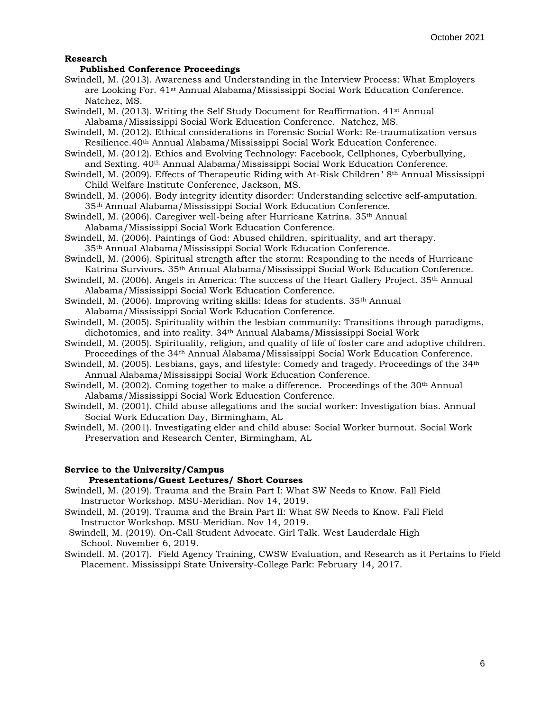### **Research**

## **Published Conference Proceedings**

- Swindell, M. (2013). Awareness and Understanding in the Interview Process: What Employers are Looking For. 41st Annual Alabama/Mississippi Social Work Education Conference. Natchez, MS.
- Swindell, M. (2013). Writing the Self Study Document for Reaffirmation. 41<sup>st</sup> Annual Alabama/Mississippi Social Work Education Conference. Natchez, MS.
- Swindell, M. (2012). Ethical considerations in Forensic Social Work: Re-traumatization versus Resilience.40th Annual Alabama/Mississippi Social Work Education Conference.
- Swindell, M. (2012). Ethics and Evolving Technology: Facebook, Cellphones, Cyberbullying, and Sexting. 40th Annual Alabama/Mississippi Social Work Education Conference.
- Swindell, M. (2009). Effects of Therapeutic Riding with At-Risk Children" 8th Annual Mississippi Child Welfare Institute Conference, Jackson, MS.
- Swindell, M. (2006). Body integrity identity disorder: Understanding selective self-amputation. 35th Annual Alabama/Mississippi Social Work Education Conference.
- Swindell, M. (2006). Caregiver well-being after Hurricane Katrina. 35th Annual Alabama/Mississippi Social Work Education Conference.
- Swindell, M. (2006). Paintings of God: Abused children, spirituality, and art therapy. 35th Annual Alabama/Mississippi Social Work Education Conference.
- Swindell, M. (2006). Spiritual strength after the storm: Responding to the needs of Hurricane Katrina Survivors. 35th Annual Alabama/Mississippi Social Work Education Conference.
- Swindell, M. (2006). Angels in America: The success of the Heart Gallery Project. 35<sup>th</sup> Annual Alabama/Mississippi Social Work Education Conference.
- Swindell, M. (2006). Improving writing skills: Ideas for students. 35<sup>th</sup> Annual Alabama/Mississippi Social Work Education Conference.
- Swindell, M. (2005). Spirituality within the lesbian community: Transitions through paradigms, dichotomies, and into reality. 34th Annual Alabama/Mississippi Social Work
- Swindell, M. (2005). Spirituality, religion, and quality of life of foster care and adoptive children. Proceedings of the 34th Annual Alabama/Mississippi Social Work Education Conference.
- Swindell, M. (2005). Lesbians, gays, and lifestyle: Comedy and tragedy. Proceedings of the 34<sup>th</sup> Annual Alabama/Mississippi Social Work Education Conference.
- Swindell, M. (2002). Coming together to make a difference. Proceedings of the 30<sup>th</sup> Annual Alabama/Mississippi Social Work Education Conference.
- Swindell, M. (2001). Child abuse allegations and the social worker: Investigation bias. Annual Social Work Education Day, Birmingham, AL
- Swindell, M. (2001). Investigating elder and child abuse: Social Worker burnout. Social Work Preservation and Research Center, Birmingham, AL

## **Service to the University/Campus**

### **Presentations/Guest Lectures/ Short Courses**

- Swindell, M. (2019). Trauma and the Brain Part I: What SW Needs to Know. Fall Field Instructor Workshop. MSU-Meridian. Nov 14, 2019.
- Swindell, M. (2019). Trauma and the Brain Part II: What SW Needs to Know. Fall Field Instructor Workshop. MSU-Meridian. Nov 14, 2019.
- Swindell, M. (2019). On-Call Student Advocate. Girl Talk. West Lauderdale High School. November 6, 2019.
- Swindell. M. (2017). Field Agency Training, CWSW Evaluation, and Research as it Pertains to Field Placement. Mississippi State University-College Park: February 14, 2017.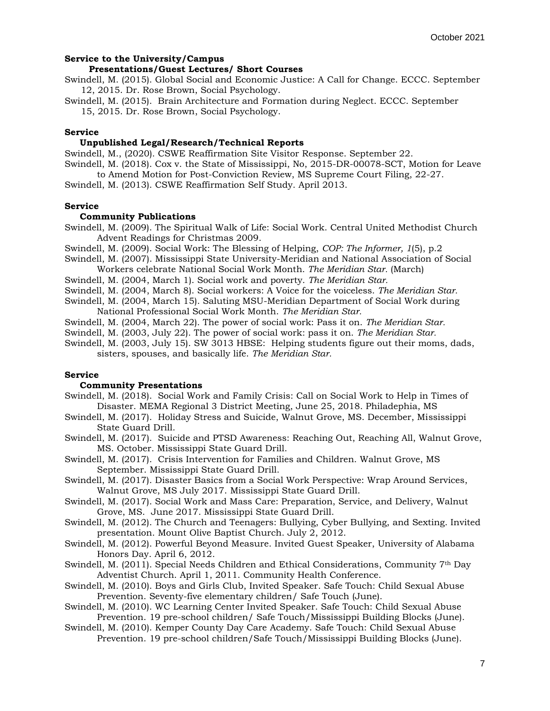## **Service to the University/Campus**

## **Presentations/Guest Lectures/ Short Courses**

Swindell, M. (2015). Global Social and Economic Justice: A Call for Change. ECCC. September 12, 2015. Dr. Rose Brown, Social Psychology.

Swindell, M. (2015). Brain Architecture and Formation during Neglect. ECCC. September

15, 2015. Dr. Rose Brown, Social Psychology.

# **Service**

## **Unpublished Legal/Research/Technical Reports**

Swindell, M., (2020). CSWE Reaffirmation Site Visitor Response. September 22. Swindell, M. (2018). Cox v. the State of Mississippi, No, 2015-DR-00078-SCT, Motion for Leave

to Amend Motion for Post-Conviction Review, MS Supreme Court Filing, 22-27.

Swindell, M. (2013). CSWE Reaffirmation Self Study. April 2013.

### **Service**

## **Community Publications**

Swindell, M. (2009). The Spiritual Walk of Life: Social Work. Central United Methodist Church Advent Readings for Christmas 2009.

Swindell, M. (2009). Social Work: The Blessing of Helping, *COP: The Informer, 1*(5), p.2

Swindell, M. (2007). Mississippi State University-Meridian and National Association of Social

Workers celebrate National Social Work Month. *The Meridian Star.* (March)

Swindell, M. (2004, March 1). Social work and poverty. *The Meridian Star.*

Swindell, M. (2004, March 8). Social workers: A Voice for the voiceless. *The Meridian Star.*

Swindell, M. (2004, March 15). Saluting MSU-Meridian Department of Social Work during National Professional Social Work Month. *The Meridian Star.*

Swindell, M. (2004, March 22). The power of social work: Pass it on. *The Meridian Star.*

Swindell, M. (2003, July 22). The power of social work: pass it on. *The Meridian Star.*

Swindell, M. (2003, July 15). SW 3013 HBSE: Helping students figure out their moms, dads, sisters, spouses, and basically life. *The Meridian Star.*

## **Service**

## **Community Presentations**

- Swindell, M. (2018). Social Work and Family Crisis: Call on Social Work to Help in Times of Disaster. MEMA Regional 3 District Meeting, June 25, 2018. Philadephia, MS
- Swindell, M. (2017). Holiday Stress and Suicide, Walnut Grove, MS. December, Mississippi State Guard Drill.
- Swindell, M. (2017). Suicide and PTSD Awareness: Reaching Out, Reaching All, Walnut Grove, MS. October. Mississippi State Guard Drill.
- Swindell, M. (2017). Crisis Intervention for Families and Children. Walnut Grove, MS September. Mississippi State Guard Drill.
- Swindell, M. (2017). Disaster Basics from a Social Work Perspective: Wrap Around Services, Walnut Grove, MS July 2017. Mississippi State Guard Drill.

Swindell, M. (2017). Social Work and Mass Care: Preparation, Service, and Delivery, Walnut Grove, MS. June 2017. Mississippi State Guard Drill.

Swindell, M. (2012). The Church and Teenagers: Bullying, Cyber Bullying, and Sexting. Invited presentation. Mount Olive Baptist Church. July 2, 2012.

Swindell, M. (2012). Powerful Beyond Measure. Invited Guest Speaker, University of Alabama Honors Day. April 6, 2012.

Swindell, M. (2011). Special Needs Children and Ethical Considerations, Community 7th Day Adventist Church. April 1, 2011. Community Health Conference.

Swindell, M. (2010). Boys and Girls Club, Invited Speaker. Safe Touch: Child Sexual Abuse Prevention. Seventy-five elementary children/ Safe Touch (June).

Swindell, M. (2010). WC Learning Center Invited Speaker. Safe Touch: Child Sexual Abuse Prevention. 19 pre-school children/ Safe Touch/Mississippi Building Blocks (June).

Swindell, M. (2010). Kemper County Day Care Academy. Safe Touch: Child Sexual Abuse Prevention. 19 pre-school children/Safe Touch/Mississippi Building Blocks (June).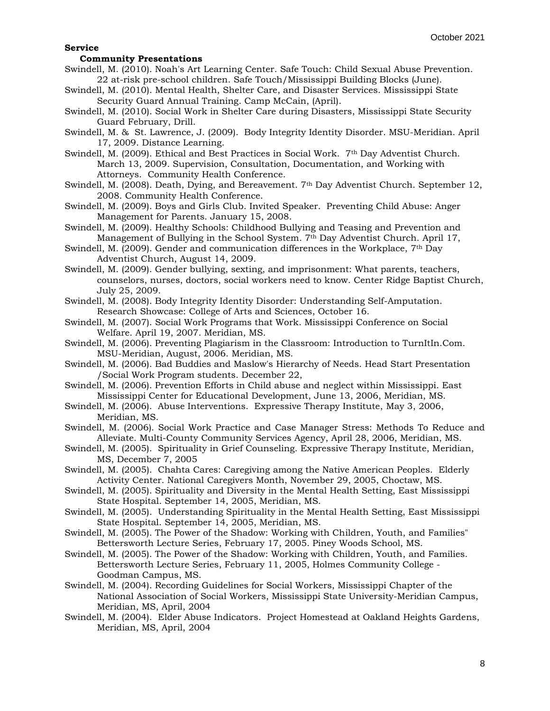#### **Service**

### **Community Presentations**

- Swindell, M. (2010). Noah's Art Learning Center. Safe Touch: Child Sexual Abuse Prevention. 22 at-risk pre-school children. Safe Touch/Mississippi Building Blocks (June).
- Swindell, M. (2010). Mental Health, Shelter Care, and Disaster Services. Mississippi State Security Guard Annual Training. Camp McCain, (April).
- Swindell, M. (2010). Social Work in Shelter Care during Disasters, Mississippi State Security Guard February, Drill.
- Swindell, M. & St. Lawrence, J. (2009). Body Integrity Identity Disorder. MSU-Meridian. April 17, 2009. Distance Learning.
- Swindell, M. (2009). Ethical and Best Practices in Social Work. 7th Day Adventist Church. March 13, 2009. Supervision, Consultation, Documentation, and Working with Attorneys. Community Health Conference.
- Swindell, M. (2008). Death, Dying, and Bereavement. 7th Day Adventist Church. September 12, 2008. Community Health Conference.
- Swindell, M. (2009). Boys and Girls Club. Invited Speaker. Preventing Child Abuse: Anger Management for Parents. January 15, 2008.
- Swindell, M. (2009). Healthy Schools: Childhood Bullying and Teasing and Prevention and Management of Bullying in the School System. 7th Day Adventist Church. April 17,
- Swindell, M. (2009). Gender and communication differences in the Workplace, 7th Day Adventist Church, August 14, 2009.
- Swindell, M. (2009). Gender bullying, sexting, and imprisonment: What parents, teachers, counselors, nurses, doctors, social workers need to know. Center Ridge Baptist Church, July 25, 2009.
- Swindell, M. (2008). Body Integrity Identity Disorder: Understanding Self-Amputation. Research Showcase: College of Arts and Sciences, October 16.
- Swindell, M. (2007). Social Work Programs that Work. Mississippi Conference on Social Welfare. April 19, 2007. Meridian, MS.
- Swindell, M. (2006). Preventing Plagiarism in the Classroom: Introduction to TurnItIn.Com. MSU-Meridian, August, 2006. Meridian, MS.
- Swindell, M. (2006). Bad Buddies and Maslow's Hierarchy of Needs. Head Start Presentation /Social Work Program students. December 22,
- Swindell, M. (2006). Prevention Efforts in Child abuse and neglect within Mississippi. East Mississippi Center for Educational Development, June 13, 2006, Meridian, MS.
- Swindell, M. (2006). Abuse Interventions. Expressive Therapy Institute, May 3, 2006, Meridian, MS.
- Swindell, M. (2006). Social Work Practice and Case Manager Stress: Methods To Reduce and Alleviate. Multi-County Community Services Agency, April 28, 2006, Meridian, MS.
- Swindell, M. (2005). Spirituality in Grief Counseling. Expressive Therapy Institute, Meridian, MS, December 7, 2005
- Swindell, M. (2005). Chahta Cares: Caregiving among the Native American Peoples. Elderly Activity Center. National Caregivers Month, November 29, 2005, Choctaw, MS.
- Swindell, M. (2005). Spirituality and Diversity in the Mental Health Setting, East Mississippi State Hospital. September 14, 2005, Meridian, MS.
- Swindell, M. (2005). Understanding Spirituality in the Mental Health Setting, East Mississippi State Hospital. September 14, 2005, Meridian, MS.
- Swindell, M. (2005). The Power of the Shadow: Working with Children, Youth, and Families" Bettersworth Lecture Series, February 17, 2005. Piney Woods School, MS.
- Swindell, M. (2005). The Power of the Shadow: Working with Children, Youth, and Families. Bettersworth Lecture Series, February 11, 2005, Holmes Community College - Goodman Campus, MS.
- Swindell, M. (2004). Recording Guidelines for Social Workers, Mississippi Chapter of the National Association of Social Workers, Mississippi State University-Meridian Campus, Meridian, MS, April, 2004
- Swindell, M. (2004). Elder Abuse Indicators. Project Homestead at Oakland Heights Gardens, Meridian, MS, April, 2004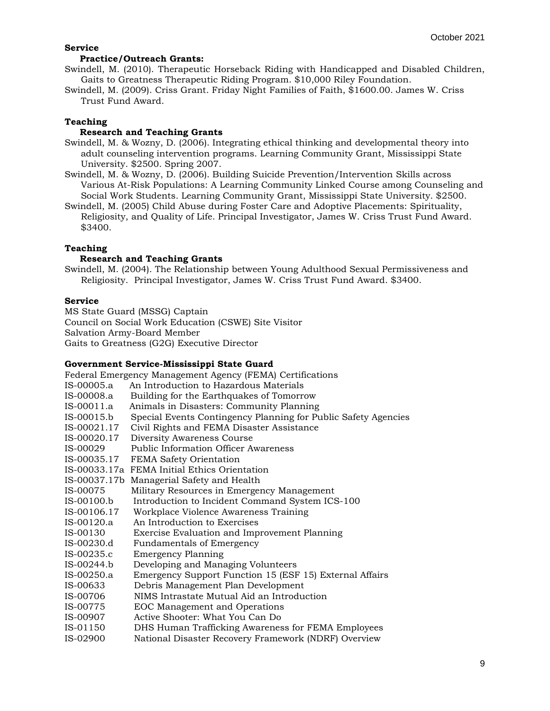### **Service**

## **Practice/Outreach Grants:**

- Swindell, M. (2010). Therapeutic Horseback Riding with Handicapped and Disabled Children, Gaits to Greatness Therapeutic Riding Program. \$10,000 Riley Foundation.
- Swindell, M. (2009). Criss Grant. Friday Night Families of Faith, \$1600.00. James W. Criss Trust Fund Award.

## **Teaching**

# **Research and Teaching Grants**

- Swindell, M. & Wozny, D. (2006). Integrating ethical thinking and developmental theory into adult counseling intervention programs. Learning Community Grant, Mississippi State University. \$2500. Spring 2007.
- Swindell, M. & Wozny, D. (2006). Building Suicide Prevention/Intervention Skills across Various At-Risk Populations: A Learning Community Linked Course among Counseling and Social Work Students. Learning Community Grant, Mississippi State University. \$2500.
- Swindell, M. (2005) Child Abuse during Foster Care and Adoptive Placements: Spirituality, Religiosity, and Quality of Life. Principal Investigator, James W. Criss Trust Fund Award. \$3400.

## **Teaching**

# **Research and Teaching Grants**

Swindell, M. (2004). The Relationship between Young Adulthood Sexual Permissiveness and Religiosity. Principal Investigator, James W. Criss Trust Fund Award. \$3400.

## **Service**

MS State Guard (MSSG) Captain Council on Social Work Education (CSWE) Site Visitor Salvation Army-Board Member Gaits to Greatness (G2G) Executive Director

## **Government Service-Mississippi State Guard**

Federal Emergency Management Agency (FEMA) Certifications

- IS-00005.a An Introduction to Hazardous Materials
- IS-00008.a Building for the Earthquakes of Tomorrow
- IS-00011.a Animals in Disasters: Community Planning
- IS-00015.b Special Events Contingency Planning for Public Safety Agencies
- IS-00021.17 Civil Rights and FEMA Disaster Assistance
- IS-00020.17 Diversity Awareness Course
- IS-00029 Public Information Officer Awareness
- IS-00035.17 FEMA Safety Orientation
- IS-00033.17a FEMA Initial Ethics Orientation
- IS-00037.17b Managerial Safety and Health
- IS-00075 Military Resources in Emergency Management
- IS-00100.b Introduction to Incident Command System ICS-100
- IS-00106.17 Workplace Violence Awareness Training
- IS-00120.a An Introduction to Exercises
- IS-00130 Exercise Evaluation and Improvement Planning
- IS-00230.d Fundamentals of Emergency
- IS-00235.c Emergency Planning
- IS-00244.b Developing and Managing Volunteers
- IS-00250.a Emergency Support Function 15 (ESF 15) External Affairs
- IS-00633 Debris Management Plan Development
- IS-00706 NIMS Intrastate Mutual Aid an Introduction
- IS-00775 EOC Management and Operations
- IS-00907 Active Shooter: What You Can Do
- IS-01150 DHS Human Trafficking Awareness for FEMA Employees
- IS-02900 National Disaster Recovery Framework (NDRF) Overview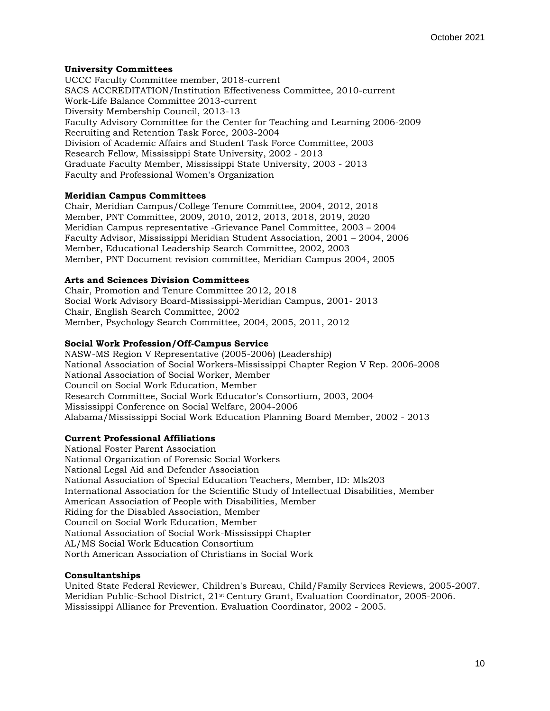## **University Committees**

UCCC Faculty Committee member, 2018-current SACS ACCREDITATION/Institution Effectiveness Committee, 2010-current Work-Life Balance Committee 2013-current Diversity Membership Council, 2013-13 Faculty Advisory Committee for the Center for Teaching and Learning 2006-2009 Recruiting and Retention Task Force, 2003-2004 Division of Academic Affairs and Student Task Force Committee, 2003 Research Fellow, Mississippi State University, 2002 - 2013 Graduate Faculty Member, Mississippi State University, 2003 - 2013 Faculty and Professional Women's Organization

## **Meridian Campus Committees**

Chair, Meridian Campus/College Tenure Committee, 2004, 2012, 2018 Member, PNT Committee, 2009, 2010, 2012, 2013, 2018, 2019, 2020 Meridian Campus representative -Grievance Panel Committee, 2003 – 2004 Faculty Advisor, Mississippi Meridian Student Association, 2001 – 2004, 2006 Member, Educational Leadership Search Committee, 2002, 2003 Member, PNT Document revision committee, Meridian Campus 2004, 2005

# **Arts and Sciences Division Committees**

Chair, Promotion and Tenure Committee 2012, 2018 Social Work Advisory Board-Mississippi-Meridian Campus, 2001- 2013 Chair, English Search Committee, 2002 Member, Psychology Search Committee, 2004, 2005, 2011, 2012

### **Social Work Profession/Off-Campus Service**

NASW-MS Region V Representative (2005-2006) (Leadership) National Association of Social Workers-Mississippi Chapter Region V Rep. 2006-2008 National Association of Social Worker, Member Council on Social Work Education, Member Research Committee, Social Work Educator's Consortium, 2003, 2004 Mississippi Conference on Social Welfare, 2004-2006 Alabama/Mississippi Social Work Education Planning Board Member, 2002 - 2013

## **Current Professional Affiliations**

National Foster Parent Association National Organization of Forensic Social Workers National Legal Aid and Defender Association National Association of Special Education Teachers, Member, ID: Mls203 International Association for the Scientific Study of Intellectual Disabilities, Member American Association of People with Disabilities, Member Riding for the Disabled Association, Member Council on Social Work Education, Member National Association of Social Work-Mississippi Chapter AL/MS Social Work Education Consortium North American Association of Christians in Social Work

## **Consultantships**

United State Federal Reviewer, Children's Bureau, Child/Family Services Reviews, 2005-2007. Meridian Public-School District, 21st Century Grant, Evaluation Coordinator, 2005-2006. Mississippi Alliance for Prevention. Evaluation Coordinator, 2002 - 2005.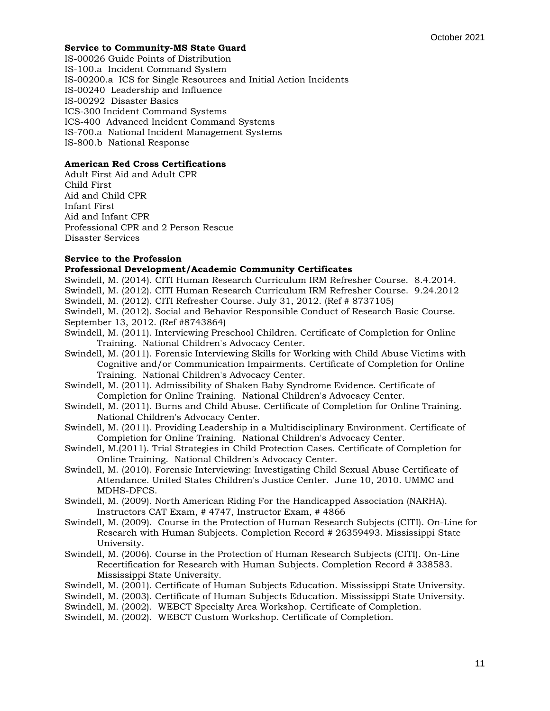## **Service to Community-MS State Guard**

IS-00026 Guide Points of Distribution IS-100.a Incident Command System IS-00200.a ICS for Single Resources and Initial Action Incidents IS-00240 Leadership and Influence IS-00292 Disaster Basics ICS-300 Incident Command Systems ICS-400 Advanced Incident Command Systems IS-700.a National Incident Management Systems IS-800.b National Response

## **American Red Cross Certifications**

Adult First Aid and Adult CPR Child First Aid and Child CPR Infant First Aid and Infant CPR Professional CPR and 2 Person Rescue Disaster Services

# **Service to the Profession**

## **Professional Development/Academic Community Certificates**

Swindell, M. (2014). CITI Human Research Curriculum IRM Refresher Course. 8.4.2014.

Swindell, M. (2012). CITI Human Research Curriculum IRM Refresher Course. 9.24.2012

Swindell, M. (2012). CITI Refresher Course. July 31, 2012. (Ref # 8737105)

Swindell, M. (2012). Social and Behavior Responsible Conduct of Research Basic Course. September 13, 2012. (Ref #8743864)

- Swindell, M. (2011). Interviewing Preschool Children. Certificate of Completion for Online Training. National Children's Advocacy Center.
- Swindell, M. (2011). Forensic Interviewing Skills for Working with Child Abuse Victims with Cognitive and/or Communication Impairments. Certificate of Completion for Online Training. National Children's Advocacy Center.
- Swindell, M. (2011). Admissibility of Shaken Baby Syndrome Evidence. Certificate of Completion for Online Training. National Children's Advocacy Center.
- Swindell, M. (2011). Burns and Child Abuse. Certificate of Completion for Online Training. National Children's Advocacy Center.

Swindell, M. (2011). Providing Leadership in a Multidisciplinary Environment. Certificate of Completion for Online Training. National Children's Advocacy Center.

- Swindell, M.(2011). Trial Strategies in Child Protection Cases. Certificate of Completion for Online Training. National Children's Advocacy Center.
- Swindell, M. (2010). Forensic Interviewing: Investigating Child Sexual Abuse Certificate of Attendance. United States Children's Justice Center. June 10, 2010. UMMC and MDHS-DFCS.

Swindell, M. (2009). North American Riding For the Handicapped Association (NARHA). Instructors CAT Exam, # 4747, Instructor Exam, # 4866

- Swindell, M. (2009). Course in the Protection of Human Research Subjects (CITI). On-Line for Research with Human Subjects. Completion Record # 26359493. Mississippi State University.
- Swindell, M. (2006). Course in the Protection of Human Research Subjects (CITI). On-Line Recertification for Research with Human Subjects. Completion Record # 338583. Mississippi State University.
- Swindell, M. (2001). Certificate of Human Subjects Education. Mississippi State University.

Swindell, M. (2003). Certificate of Human Subjects Education. Mississippi State University.

Swindell, M. (2002). WEBCT Specialty Area Workshop. Certificate of Completion.

Swindell, M. (2002). WEBCT Custom Workshop. Certificate of Completion.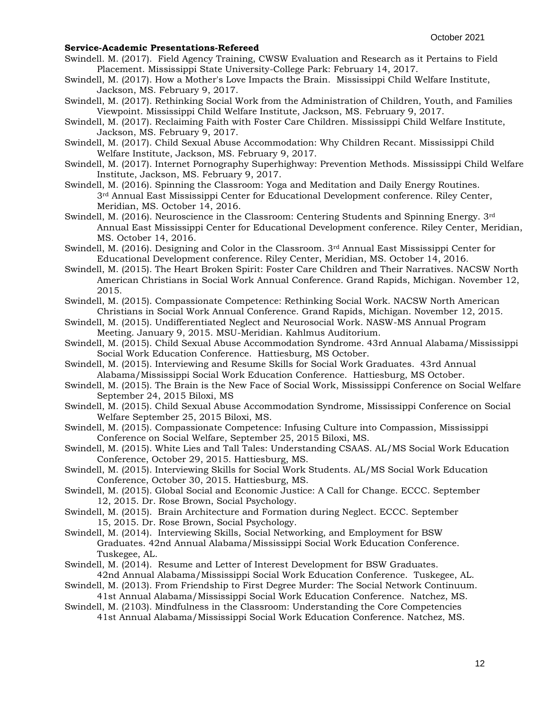#### **Service-Academic Presentations-Refereed**

- Swindell. M. (2017). Field Agency Training, CWSW Evaluation and Research as it Pertains to Field Placement. Mississippi State University-College Park: February 14, 2017.
- Swindell, M. (2017). How a Mother's Love Impacts the Brain. Mississippi Child Welfare Institute, Jackson, MS. February 9, 2017.
- Swindell, M. (2017). Rethinking Social Work from the Administration of Children, Youth, and Families Viewpoint. Mississippi Child Welfare Institute, Jackson, MS. February 9, 2017.
- Swindell, M. (2017). Reclaiming Faith with Foster Care Children. Mississippi Child Welfare Institute, Jackson, MS. February 9, 2017.
- Swindell, M. (2017). Child Sexual Abuse Accommodation: Why Children Recant. Mississippi Child Welfare Institute, Jackson, MS. February 9, 2017.
- Swindell, M. (2017). Internet Pornography Superhighway: Prevention Methods. Mississippi Child Welfare Institute, Jackson, MS. February 9, 2017.
- Swindell, M. (2016). Spinning the Classroom: Yoga and Meditation and Daily Energy Routines. 3rd Annual East Mississippi Center for Educational Development conference. Riley Center, Meridian, MS. October 14, 2016.
- Swindell, M. (2016). Neuroscience in the Classroom: Centering Students and Spinning Energy. 3rd Annual East Mississippi Center for Educational Development conference. Riley Center, Meridian, MS. October 14, 2016.
- Swindell, M. (2016). Designing and Color in the Classroom. 3rd Annual East Mississippi Center for Educational Development conference. Riley Center, Meridian, MS. October 14, 2016.
- Swindell, M. (2015). The Heart Broken Spirit: Foster Care Children and Their Narratives. NACSW North American Christians in Social Work Annual Conference. Grand Rapids, Michigan. November 12, 2015.
- Swindell, M. (2015). Compassionate Competence: Rethinking Social Work. NACSW North American Christians in Social Work Annual Conference. Grand Rapids, Michigan. November 12, 2015.
- Swindell, M. (2015). Undifferentiated Neglect and Neurosocial Work. NASW-MS Annual Program Meeting. January 9, 2015. MSU-Meridian. Kahlmus Auditorium.
- Swindell, M. (2015). Child Sexual Abuse Accommodation Syndrome. 43rd Annual Alabama/Mississippi Social Work Education Conference. Hattiesburg, MS October.
- Swindell, M. (2015). Interviewing and Resume Skills for Social Work Graduates. 43rd Annual Alabama/Mississippi Social Work Education Conference. Hattiesburg, MS October.
- Swindell, M. (2015). The Brain is the New Face of Social Work, Mississippi Conference on Social Welfare September 24, 2015 Biloxi, MS
- Swindell, M. (2015). Child Sexual Abuse Accommodation Syndrome, Mississippi Conference on Social Welfare September 25, 2015 Biloxi, MS.
- Swindell, M. (2015). Compassionate Competence: Infusing Culture into Compassion, Mississippi Conference on Social Welfare, September 25, 2015 Biloxi, MS.
- Swindell, M. (2015). White Lies and Tall Tales: Understanding CSAAS. AL/MS Social Work Education Conference, October 29, 2015. Hattiesburg, MS.
- Swindell, M. (2015). Interviewing Skills for Social Work Students. AL/MS Social Work Education Conference, October 30, 2015. Hattiesburg, MS.
- Swindell, M. (2015). Global Social and Economic Justice: A Call for Change. ECCC. September 12, 2015. Dr. Rose Brown, Social Psychology.
- Swindell, M. (2015). Brain Architecture and Formation during Neglect. ECCC. September 15, 2015. Dr. Rose Brown, Social Psychology.
- Swindell, M. (2014). Interviewing Skills, Social Networking, and Employment for BSW Graduates. 42nd Annual Alabama/Mississippi Social Work Education Conference. Tuskegee, AL.
- Swindell, M. (2014). Resume and Letter of Interest Development for BSW Graduates. 42nd Annual Alabama/Mississippi Social Work Education Conference. Tuskegee, AL.
- Swindell, M. (2013). From Friendship to First Degree Murder: The Social Network Continuum.
- 41st Annual Alabama/Mississippi Social Work Education Conference. Natchez, MS. Swindell, M. (2103). Mindfulness in the Classroom: Understanding the Core Competencies
	- 41st Annual Alabama/Mississippi Social Work Education Conference. Natchez, MS.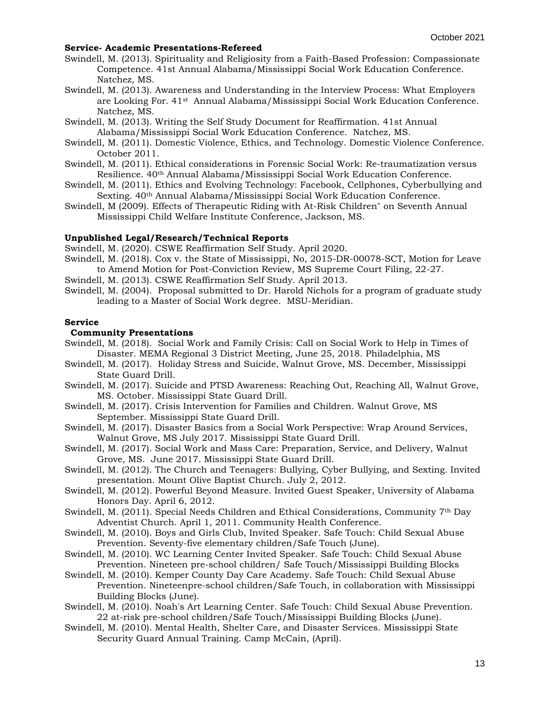### **Service- Academic Presentations-Refereed**

Swindell, M. (2013). Spirituality and Religiosity from a Faith-Based Profession: Compassionate Competence. 41st Annual Alabama/Mississippi Social Work Education Conference. Natchez, MS.

- Swindell, M. (2013). Awareness and Understanding in the Interview Process: What Employers are Looking For. 41<sup>st</sup> Annual Alabama/Mississippi Social Work Education Conference. Natchez, MS.
- Swindell, M. (2013). Writing the Self Study Document for Reaffirmation. 41st Annual Alabama/Mississippi Social Work Education Conference. Natchez, MS.
- Swindell, M. (2011). Domestic Violence, Ethics, and Technology. Domestic Violence Conference. October 2011.
- Swindell, M. (2011). Ethical considerations in Forensic Social Work: Re-traumatization versus Resilience. 40th Annual Alabama/Mississippi Social Work Education Conference.
- Swindell, M. (2011). Ethics and Evolving Technology: Facebook, Cellphones, Cyberbullying and Sexting. 40th Annual Alabama/Mississippi Social Work Education Conference.
- Swindell, M (2009). Effects of Therapeutic Riding with At-Risk Children" on Seventh Annual Mississippi Child Welfare Institute Conference, Jackson, MS.

## **Unpublished Legal/Research/Technical Reports**

Swindell, M. (2020). CSWE Reaffirmation Self Study. April 2020.

- Swindell, M. (2018). Cox v. the State of Mississippi, No, 2015-DR-00078-SCT, Motion for Leave to Amend Motion for Post-Conviction Review, MS Supreme Court Filing, 22-27.
- Swindell, M. (2013). CSWE Reaffirmation Self Study. April 2013.
- Swindell, M. (2004). Proposal submitted to Dr. Harold Nichols for a program of graduate study leading to a Master of Social Work degree. MSU-Meridian.

## **Service**

### **Community Presentations**

- Swindell, M. (2018). Social Work and Family Crisis: Call on Social Work to Help in Times of Disaster. MEMA Regional 3 District Meeting, June 25, 2018. Philadelphia, MS
- Swindell, M. (2017). Holiday Stress and Suicide, Walnut Grove, MS. December, Mississippi State Guard Drill.
- Swindell, M. (2017). Suicide and PTSD Awareness: Reaching Out, Reaching All, Walnut Grove, MS. October. Mississippi State Guard Drill.
- Swindell, M. (2017). Crisis Intervention for Families and Children. Walnut Grove, MS September. Mississippi State Guard Drill.
- Swindell, M. (2017). Disaster Basics from a Social Work Perspective: Wrap Around Services, Walnut Grove, MS July 2017. Mississippi State Guard Drill.
- Swindell, M. (2017). Social Work and Mass Care: Preparation, Service, and Delivery, Walnut Grove, MS. June 2017. Mississippi State Guard Drill.
- Swindell, M. (2012). The Church and Teenagers: Bullying, Cyber Bullying, and Sexting. Invited presentation. Mount Olive Baptist Church. July 2, 2012.
- Swindell, M. (2012). Powerful Beyond Measure. Invited Guest Speaker, University of Alabama Honors Day. April 6, 2012.
- Swindell, M. (2011). Special Needs Children and Ethical Considerations, Community 7th Day Adventist Church. April 1, 2011. Community Health Conference.
- Swindell, M. (2010). Boys and Girls Club, Invited Speaker. Safe Touch: Child Sexual Abuse Prevention. Seventy-five elementary children/Safe Touch (June).
- Swindell, M. (2010). WC Learning Center Invited Speaker. Safe Touch: Child Sexual Abuse Prevention. Nineteen pre-school children/ Safe Touch/Mississippi Building Blocks
- Swindell, M. (2010). Kemper County Day Care Academy. Safe Touch: Child Sexual Abuse Prevention. Nineteenpre-school children/Safe Touch, in collaboration with Mississippi Building Blocks (June).
- Swindell, M. (2010). Noah's Art Learning Center. Safe Touch: Child Sexual Abuse Prevention. 22 at-risk pre-school children/Safe Touch/Mississippi Building Blocks (June).
- Swindell, M. (2010). Mental Health, Shelter Care, and Disaster Services. Mississippi State Security Guard Annual Training. Camp McCain, (April).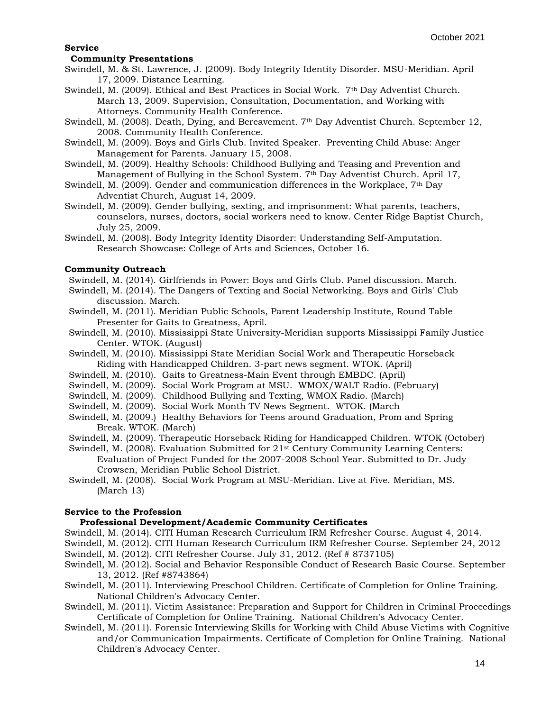### **Service**

#### **Community Presentations**

- Swindell, M. & St. Lawrence, J. (2009). Body Integrity Identity Disorder. MSU-Meridian. April 17, 2009. Distance Learning.
- Swindell, M. (2009). Ethical and Best Practices in Social Work. 7th Day Adventist Church. March 13, 2009. Supervision, Consultation, Documentation, and Working with Attorneys. Community Health Conference.
- Swindell, M. (2008). Death, Dying, and Bereavement. 7th Day Adventist Church. September 12, 2008. Community Health Conference.
- Swindell, M. (2009). Boys and Girls Club. Invited Speaker. Preventing Child Abuse: Anger Management for Parents. January 15, 2008.
- Swindell, M. (2009). Healthy Schools: Childhood Bullying and Teasing and Prevention and Management of Bullying in the School System. 7th Day Adventist Church. April 17,
- Swindell, M. (2009). Gender and communication differences in the Workplace, 7th Day Adventist Church, August 14, 2009.
- Swindell, M. (2009). Gender bullying, sexting, and imprisonment: What parents, teachers, counselors, nurses, doctors, social workers need to know. Center Ridge Baptist Church, July 25, 2009.
- Swindell, M. (2008). Body Integrity Identity Disorder: Understanding Self-Amputation. Research Showcase: College of Arts and Sciences, October 16.

## **Community Outreach**

- Swindell, M. (2014). Girlfriends in Power: Boys and Girls Club. Panel discussion. March.
- Swindell, M. (2014). The Dangers of Texting and Social Networking. Boys and Girls' Club discussion. March.
- Swindell, M. (2011). Meridian Public Schools, Parent Leadership Institute, Round Table Presenter for Gaits to Greatness, April.
- Swindell, M. (2010). Mississippi State University-Meridian supports Mississippi Family Justice Center. WTOK. (August)
- Swindell, M. (2010). Mississippi State Meridian Social Work and Therapeutic Horseback Riding with Handicapped Children. 3-part news segment. WTOK. (April)
- Swindell, M. (2010). Gaits to Greatness-Main Event through EMBDC. (April)
- Swindell, M. (2009). Social Work Program at MSU. WMOX/WALT Radio. (February)
- Swindell, M. (2009). Childhood Bullying and Texting, WMOX Radio. (March)
- Swindell, M. (2009). Social Work Month TV News Segment. WTOK. (March
- Swindell, M. (2009.) Healthy Behaviors for Teens around Graduation, Prom and Spring Break. WTOK. (March)
- Swindell, M. (2009). Therapeutic Horseback Riding for Handicapped Children. WTOK (October)
- Swindell, M. (2008). Evaluation Submitted for 21<sup>st</sup> Century Community Learning Centers: Evaluation of Project Funded for the 2007-2008 School Year. Submitted to Dr. Judy Crowsen, Meridian Public School District.
- Swindell, M. (2008). Social Work Program at MSU-Meridian. Live at Five. Meridian, MS. (March 13)

## **Service to the Profession**

#### **Professional Development/Academic Community Certificates**

Swindell, M. (2014). CITI Human Research Curriculum IRM Refresher Course. August 4, 2014.

Swindell, M. (2012). CITI Human Research Curriculum IRM Refresher Course. September 24, 2012

- Swindell, M. (2012). CITI Refresher Course. July 31, 2012. (Ref # 8737105)
- Swindell, M. (2012). Social and Behavior Responsible Conduct of Research Basic Course. September 13, 2012. (Ref #8743864)
- Swindell, M. (2011). Interviewing Preschool Children. Certificate of Completion for Online Training. National Children's Advocacy Center.
- Swindell, M. (2011). Victim Assistance: Preparation and Support for Children in Criminal Proceedings Certificate of Completion for Online Training. National Children's Advocacy Center.
- Swindell, M. (2011). Forensic Interviewing Skills for Working with Child Abuse Victims with Cognitive and/or Communication Impairments. Certificate of Completion for Online Training. National Children's Advocacy Center.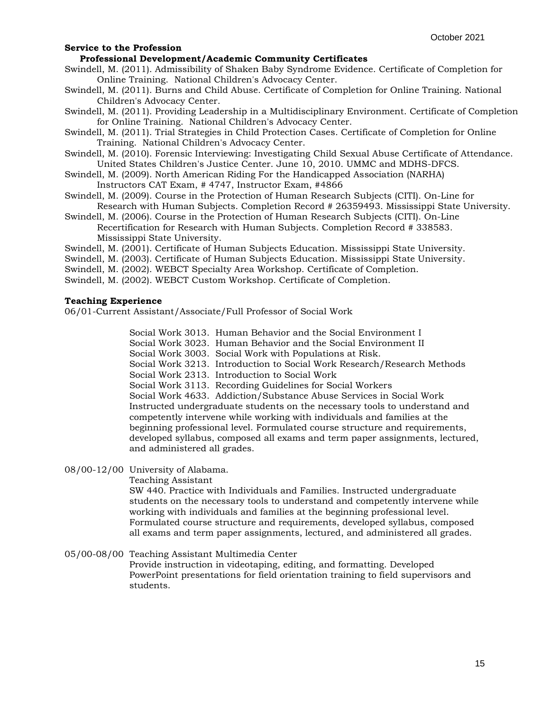**Professional Development/Academic Community Certificates**

- Swindell, M. (2011). Admissibility of Shaken Baby Syndrome Evidence. Certificate of Completion for Online Training. National Children's Advocacy Center.
- Swindell, M. (2011). Burns and Child Abuse. Certificate of Completion for Online Training. National Children's Advocacy Center.
- Swindell, M. (2011). Providing Leadership in a Multidisciplinary Environment. Certificate of Completion for Online Training. National Children's Advocacy Center.
- Swindell, M. (2011). Trial Strategies in Child Protection Cases. Certificate of Completion for Online Training. National Children's Advocacy Center.
- Swindell, M. (2010). Forensic Interviewing: Investigating Child Sexual Abuse Certificate of Attendance. United States Children's Justice Center. June 10, 2010. UMMC and MDHS-DFCS.
- Swindell, M. (2009). North American Riding For the Handicapped Association (NARHA) Instructors CAT Exam, # 4747, Instructor Exam, #4866
- Swindell, M. (2009). Course in the Protection of Human Research Subjects (CITI). On-Line for Research with Human Subjects. Completion Record # 26359493. Mississippi State University.
- Swindell, M. (2006). Course in the Protection of Human Research Subjects (CITI). On-Line Recertification for Research with Human Subjects. Completion Record # 338583. Mississippi State University.
- Swindell, M. (2001). Certificate of Human Subjects Education. Mississippi State University.
- Swindell, M. (2003). Certificate of Human Subjects Education. Mississippi State University.
- Swindell, M. (2002). WEBCT Specialty Area Workshop. Certificate of Completion.
- Swindell, M. (2002). WEBCT Custom Workshop. Certificate of Completion.

### **Teaching Experience**

06/01-Current Assistant/Associate/Full Professor of Social Work

Social Work 3013. Human Behavior and the Social Environment I Social Work 3023. Human Behavior and the Social Environment II Social Work 3003. Social Work with Populations at Risk. Social Work 3213. Introduction to Social Work Research/Research Methods Social Work 2313. Introduction to Social Work Social Work 3113. Recording Guidelines for Social Workers Social Work 4633. Addiction/Substance Abuse Services in Social Work Instructed undergraduate students on the necessary tools to understand and competently intervene while working with individuals and families at the beginning professional level. Formulated course structure and requirements, developed syllabus, composed all exams and term paper assignments, lectured, and administered all grades.

08/00-12/00 University of Alabama.

Teaching Assistant

SW 440. Practice with Individuals and Families. Instructed undergraduate students on the necessary tools to understand and competently intervene while working with individuals and families at the beginning professional level. Formulated course structure and requirements, developed syllabus, composed all exams and term paper assignments, lectured, and administered all grades.

05/00-08/00 Teaching Assistant Multimedia Center

Provide instruction in videotaping, editing, and formatting. Developed PowerPoint presentations for field orientation training to field supervisors and students.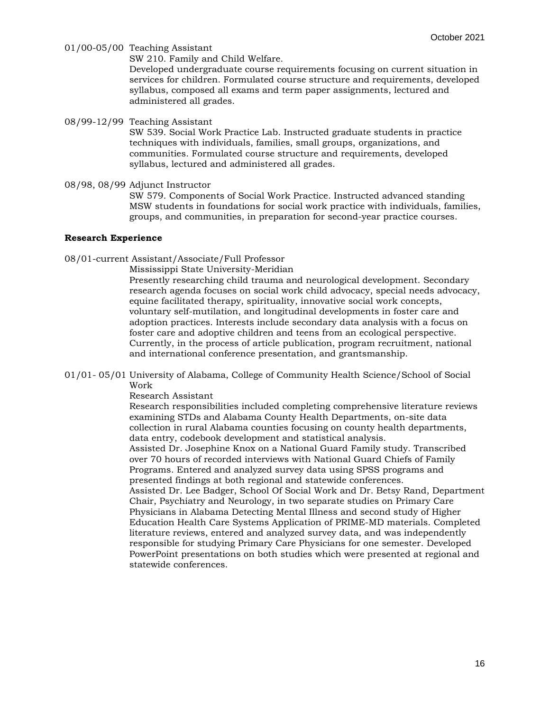01/00-05/00 Teaching Assistant

SW 210. Family and Child Welfare.

Developed undergraduate course requirements focusing on current situation in services for children. Formulated course structure and requirements, developed syllabus, composed all exams and term paper assignments, lectured and administered all grades.

08/99-12/99 Teaching Assistant

SW 539. Social Work Practice Lab. Instructed graduate students in practice techniques with individuals, families, small groups, organizations, and communities. Formulated course structure and requirements, developed syllabus, lectured and administered all grades.

08/98, 08/99 Adjunct Instructor

SW 579. Components of Social Work Practice. Instructed advanced standing MSW students in foundations for social work practice with individuals, families, groups, and communities, in preparation for second-year practice courses.

## **Research Experience**

08/01-current Assistant/Associate/Full Professor

Mississippi State University-Meridian

Presently researching child trauma and neurological development. Secondary research agenda focuses on social work child advocacy, special needs advocacy, equine facilitated therapy, spirituality, innovative social work concepts, voluntary self-mutilation, and longitudinal developments in foster care and adoption practices. Interests include secondary data analysis with a focus on foster care and adoptive children and teens from an ecological perspective. Currently, in the process of article publication, program recruitment, national and international conference presentation, and grantsmanship.

01/01- 05/01 University of Alabama, College of Community Health Science/School of Social Work

Research Assistant

Research responsibilities included completing comprehensive literature reviews examining STDs and Alabama County Health Departments, on-site data collection in rural Alabama counties focusing on county health departments, data entry, codebook development and statistical analysis. Assisted Dr. Josephine Knox on a National Guard Family study. Transcribed over 70 hours of recorded interviews with National Guard Chiefs of Family Programs. Entered and analyzed survey data using SPSS programs and presented findings at both regional and statewide conferences. Assisted Dr. Lee Badger, School Of Social Work and Dr. Betsy Rand, Department Chair, Psychiatry and Neurology, in two separate studies on Primary Care Physicians in Alabama Detecting Mental Illness and second study of Higher Education Health Care Systems Application of PRIME-MD materials. Completed literature reviews, entered and analyzed survey data, and was independently responsible for studying Primary Care Physicians for one semester. Developed PowerPoint presentations on both studies which were presented at regional and statewide conferences.